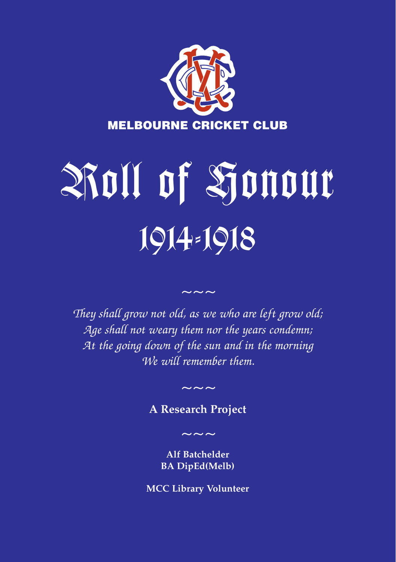

# Roll of Honour 1914-1918

*They shall grow not old, as we who are left grow old; Age shall not weary them nor the years condemn; At the going down of the sun and in the morning We will remember them.*

*~~~*

**A Research Project**

*~~~*

*~~~*

**Alf Batchelder BA DipEd(Melb)**

**MCC Library Volunteer**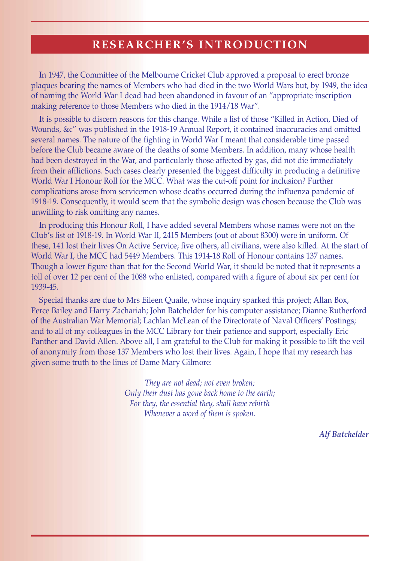# **RESEARCHER'S INTRODUCTION**

In 1947, the Committee of the Melbourne Cricket Club approved a proposal to erect bronze plaques bearing the names of Members who had died in the two World Wars but, by 1949, the idea of naming the World War I dead had been abandoned in favour of an "appropriate inscription making reference to those Members who died in the 1914/18 War".

It is possible to discern reasons for this change. While a list of those "Killed in Action, Died of Wounds, &c" was published in the 1918-19 Annual Report, it contained inaccuracies and omitted several names. The nature of the fighting in World War I meant that considerable time passed before the Club became aware of the deaths of some Members. In addition, many whose health had been destroyed in the War, and particularly those affected by gas, did not die immediately from their afflictions. Such cases clearly presented the biggest difficulty in producing a definitive World War I Honour Roll for the MCC. What was the cut-off point for inclusion? Further complications arose from servicemen whose deaths occurred during the influenza pandemic of 1918-19. Consequently, it would seem that the symbolic design was chosen because the Club was unwilling to risk omitting any names.

In producing this Honour Roll, I have added several Members whose names were not on the Club's list of 1918-19. In World War II, 2415 Members (out of about 8300) were in uniform. Of these, 141 lost their lives On Active Service; five others, all civilians, were also killed. At the start of World War I, the MCC had 5449 Members. This 1914-18 Roll of Honour contains 137 names. Though a lower figure than that for the Second World War, it should be noted that it represents a toll of over 12 per cent of the 1088 who enlisted, compared with a figure of about six per cent for 1939-45.

Special thanks are due to Mrs Eileen Quaile, whose inquiry sparked this project; Allan Box, Perce Bailey and Harry Zachariah; John Batchelder for his computer assistance; Dianne Rutherford of the Australian War Memorial; Lachlan McLean of the Directorate of Naval Officers' Postings; and to all of my colleagues in the MCC Library for their patience and support, especially Eric Panther and David Allen. Above all, I am grateful to the Club for making it possible to lift the veil of anonymity from those 137 Members who lost their lives. Again, I hope that my research has given some truth to the lines of Dame Mary Gilmore:

> *They are not dead; not even broken; Only their dust has gone back home to the earth; For they, the essential they, shall have rebirth Whenever a word of them is spoken.*

> > *Alf Batchelder*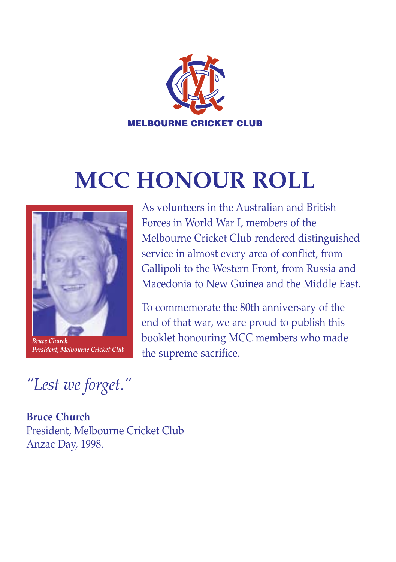

# **MCC HONOUR ROLL**



*President, Melbourne Cricket Club*

As volunteers in the Australian and British Forces in World War I, members of the Melbourne Cricket Club rendered distinguished service in almost every area of conflict, from Gallipoli to the Western Front, from Russia and Macedonia to New Guinea and the Middle East.

To commemorate the 80th anniversary of the end of that war, we are proud to publish this booklet honouring MCC members who made the supreme sacrifice.

*"Lest we forget."*

**Bruce Church** President, Melbourne Cricket Club Anzac Day, 1998.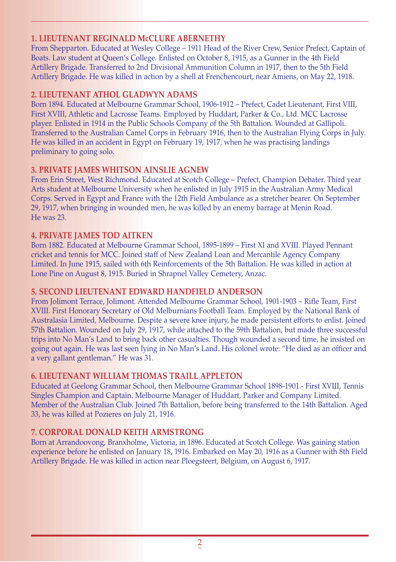#### **1. LIEUTENANT REGINALD McCLURE ABERNETHY**

From Shepparton. Educated at Wesley College – 1911 Head of the River Crew, Senior Prefect, Captain of Boats. Law student at Queen's College. Enlisted on October 8, 1915, as a Gunner in the 4th Field Artillery Brigade. Transferred to 2nd Divisional Ammunition Column in 1917, then to the 5th Field Artillery Brigade. He was killed in action by a shell at Frenchencourt, near Amiens, on May 22, 1918.

#### **2. LIEUTENANT ATHOL GLADWYN ADAMS**

Born 1894. Educated at Melbourne Grammar School, 1906-1912 – Prefect, Cadet Lieutenant, First VIII, First XVIII, Athletic and Lacrosse Teams. Employed by Huddart, Parker & Co., Ltd. MCC Lacrosse player. Enlisted in 1914 in the Public Schools Company of the 5th Battalion. Wounded at Gallipoli. Transferred to the Australian Camel Corps in February 1916, then to the Australian Flying Corps in July. He was killed in an accident in Egypt on February 19, 1917, when he was practising landings preliminary to going solo.

# **3. PRIVATE JAMES WHITSON AINSLIE AGNEW**

From Erin Street, West Richmond. Educated at Scotch College – Prefect, Champion Debater. Third year Arts student at Melbourne University when he enlisted in July 1915 in the Australian Army Medical Corps. Served in Egypt and France with the 12th Field Ambulance as a stretcher bearer. On September 29, 1917, when bringing in wounded men, he was killed by an enemy barrage at Menin Road. He was 23.

# **4. PRIVATE JAMES TOD AITKEN**

Born 1882. Educated at Melbourne Grammar School, 1895-1899 – First XI and XVIII. Played Pennant cricket and tennis for MCC. Joined staff of New Zealand Loan and Mercantile Agency Company Limited. In June 1915, sailed with 6th Reinforcements of the 5th Battalion. He was killed in action at Lone Pine on August 8, 1915. Buried in Shrapnel Valley Cemetery, Anzac.

# **5. SECOND LIEUTENANT EDWARD HANDFIELD ANDERSON**

From Jolimont Terrace, Jolimont. Attended Melbourne Grammar School, 1901-1903 – Rifle Team, First XVIII. First Honorary Secretary of Old Melburnians Football Team. Employed by the National Bank of Australasia Limited, Melbourne. Despite a severe knee injury, he made persistent efforts to enlist. Joined 57th Battalion. Wounded on July 29, 1917, while attached to the 59th Battalion, but made three successful trips into No Man's Land to bring back other casualties. Though wounded a second time, he insisted on going out again. He was last seen lying in No Man's Land. His colonel wrote: "He died as an officer and a very gallant gentleman." He was 31.

# **6. LIEUTENANT WILLIAM THOMAS TRAILL APPLETON**

Educated at Geelong Grammar School, then Melbourne Grammar School 1898-1901.- First XVIII, Tennis Singles Champion and Captain. Melbourne Manager of Huddart, Parker and Company Limited. Member of the Australian Club. Joined 7th Battalion, before being transferred to the 14th Battalion. Aged 33, he was killed at Pozieres on July 21, 1916.

# **7. CORPORAL DONALD KEITH ARMSTRONG**

Born at Arrandoovong, Branxholme, Victoria, in 1896. Educated at Scotch College. Was gaining station experience before he enlisted on January 18, 1916. Embarked on May 20, 1916 as a Gunner with 8th Field Artillery Brigade. He was killed in action near Ploegsteert, Belgium, on August 6, 1917.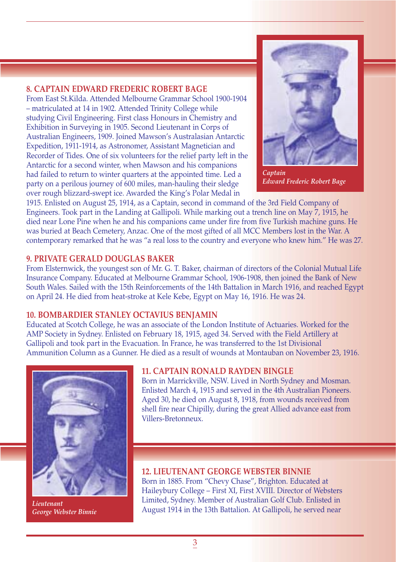#### **8. CAPTAIN EDWARD FREDERIC ROBERT BAGE**

From East St.Kilda. Attended Melbourne Grammar School 1900-1904 – matriculated at 14 in 1902. Attended Trinity College while studying Civil Engineering. First class Honours in Chemistry and Exhibition in Surveying in 1905. Second Lieutenant in Corps of Australian Engineers, 1909. Joined Mawson's Australasian Antarctic Expedition, 1911-1914, as Astronomer, Assistant Magnetician and Recorder of Tides. One of six volunteers for the relief party left in the Antarctic for a second winter, when Mawson and his companions had failed to return to winter quarters at the appointed time. Led a party on a perilous journey of 600 miles, man-hauling their sledge over rough blizzard-swept ice. Awarded the King's Polar Medal in



*Captain Edward Frederic Robert Bage*

1915. Enlisted on August 25, 1914, as a Captain, second in command of the 3rd Field Company of Engineers. Took part in the Landing at Gallipoli. While marking out a trench line on May 7, 1915, he died near Lone Pine when he and his companions came under fire from five Turkish machine guns. He was buried at Beach Cemetery, Anzac. One of the most gifted of all MCC Members lost in the War. A contemporary remarked that he was "a real loss to the country and everyone who knew him." He was 27.

#### **9. PRIVATE GERALD DOUGLAS BAKER**

From Elsternwick, the youngest son of Mr. G. T. Baker, chairman of directors of the Colonial Mutual Life Insurance Company. Educated at Melbourne Grammar School, 1906-1908, then joined the Bank of New South Wales. Sailed with the 15th Reinforcements of the 14th Battalion in March 1916, and reached Egypt on April 24. He died from heat-stroke at Kele Kebe, Egypt on May 16, 1916. He was 24.

#### **10. BOMBARDIER STANLEY OCTAVIUS BENJAMIN**

Educated at Scotch College, he was an associate of the London Institute of Actuaries. Worked for the AMP Society in Sydney. Enlisted on February 18, 1915, aged 34. Served with the Field Artillery at Gallipoli and took part in the Evacuation. In France, he was transferred to the 1st Divisional Ammunition Column as a Gunner. He died as a result of wounds at Montauban on November 23, 1916.



*Lieutenant George Webster Binnie*

#### **11. CAPTAIN RONALD RAYDEN BINGLE**

Born in Marrickville, NSW. Lived in North Sydney and Mosman. Enlisted March 4, 1915 and served in the 4th Australian Pioneers. Aged 30, he died on August 8, 1918, from wounds received from shell fire near Chipilly, during the great Allied advance east from Villers-Bretonneux.

**12. LIEUTENANT GEORGE WEBSTER BINNIE** Born in 1885. From "Chevy Chase", Brighton. Educated at Haileybury College – First XI, First XVIII. Director of Websters Limited, Sydney. Member of Australian Golf Club. Enlisted in August 1914 in the 13th Battalion. At Gallipoli, he served near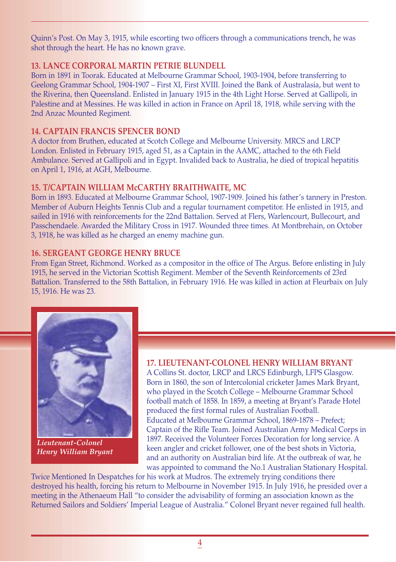Quinn's Post. On May 3, 1915, while escorting two officers through a communications trench, he was shot through the heart. He has no known grave.

#### **13. LANCE CORPORAL MARTIN PETRIE BLUNDELL**

Born in 1891 in Toorak. Educated at Melbourne Grammar School, 1903-1904, before transferring to Geelong Grammar School, 1904-1907 – First XI, First XVIII. Joined the Bank of Australasia, but went to the Riverina, then Queensland. Enlisted in January 1915 in the 4th Light Horse. Served at Gallipoli, in Palestine and at Messines. He was killed in action in France on April 18, 1918, while serving with the 2nd Anzac Mounted Regiment.

#### **14. CAPTAIN FRANCIS SPENCER BOND**

A doctor from Bruthen, educated at Scotch College and Melbourne University. MRCS and LRCP London. Enlisted in February 1915, aged 51, as a Captain in the AAMC, attached to the 6th Field Ambulance. Served at Gallipoli and in Egypt. Invalided back to Australia, he died of tropical hepatitis on April 1, 1916, at AGH, Melbourne.

#### **15. T/CAPTAIN WILLIAM McCARTHY BRAITHWAITE, MC**

Born in 1893. Educated at Melbourne Grammar School, 1907-1909. Joined his father's tannery in Preston. Member of Auburn Heights Tennis Club and a regular tournament competitor. He enlisted in 1915, and sailed in 1916 with reinforcements for the 22nd Battalion. Served at Flers, Warlencourt, Bullecourt, and Passchendaele. Awarded the Military Cross in 1917. Wounded three times. At Montbrehain, on October 3, 1918, he was killed as he charged an enemy machine gun.

#### **16. SERGEANT GEORGE HENRY BRUCE**

From Egan Street, Richmond. Worked as a compositor in the office of The Argus. Before enlisting in July 1915, he served in the Victorian Scottish Regiment. Member of the Seventh Reinforcements of 23rd Battalion. Transferred to the 58th Battalion, in February 1916. He was killed in action at Fleurbaix on July 15, 1916. He was 23.



*Lieutenant-Colonel Henry William Bryant*

#### **17. LIEUTENANT-COLONEL HENRY WILLIAM BRYANT**

A Collins St. doctor, LRCP and LRCS Edinburgh, LFPS Glasgow. Born in 1860, the son of Intercolonial cricketer James Mark Bryant, who played in the Scotch College – Melbourne Grammar School football match of 1858. In 1859, a meeting at Bryant's Parade Hotel produced the first formal rules of Australian Football. Educated at Melbourne Grammar School, 1869-1878 – Prefect; Captain of the Rifle Team. Joined Australian Army Medical Corps in 1897. Received the Volunteer Forces Decoration for long service. A keen angler and cricket follower, one of the best shots in Victoria, and an authority on Australian bird life. At the outbreak of war, he was appointed to command the No.1 Australian Stationary Hospital.

Twice Mentioned In Despatches for his work at Mudros. The extremely trying conditions there destroyed his health, forcing his return to Melbourne in November 1915. In July 1916, he presided over a meeting in the Athenaeum Hall "to consider the advisability of forming an association known as the Returned Sailors and Soldiers' Imperial League of Australia." Colonel Bryant never regained full health.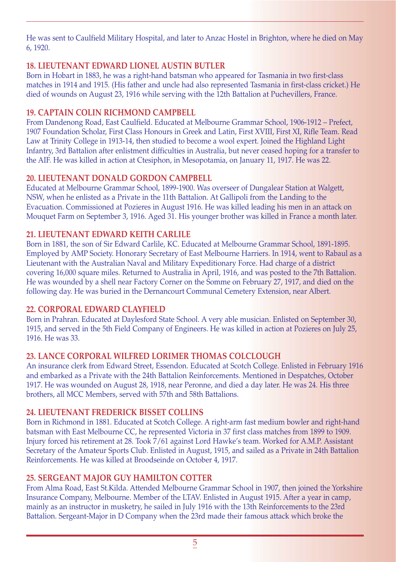He was sent to Caulfield Military Hospital, and later to Anzac Hostel in Brighton, where he died on May 6, 1920.

# **18. LIEUTENANT EDWARD LIONEL AUSTIN BUTLER**

Born in Hobart in 1883, he was a right-hand batsman who appeared for Tasmania in two first-class matches in 1914 and 1915. (His father and uncle had also represented Tasmania in first-class cricket.) He died of wounds on August 23, 1916 while serving with the 12th Battalion at Puchevillers, France.

# **19. CAPTAIN COLIN RICHMOND CAMPBELL**

From Dandenong Road, East Caulfield. Educated at Melbourne Grammar School, 1906-1912 – Prefect, 1907 Foundation Scholar, First Class Honours in Greek and Latin, First XVIII, First XI, Rifle Team. Read Law at Trinity College in 1913-14, then studied to become a wool expert. Joined the Highland Light Infantry, 3rd Battalion after enlistment difficulties in Australia, but never ceased hoping for a transfer to the AIF. He was killed in action at Ctesiphon, in Mesopotamia, on January 11, 1917. He was 22.

# **20. LIEUTENANT DONALD GORDON CAMPBELL**

Educated at Melbourne Grammar School, 1899-1900. Was overseer of Dungalear Station at Walgett, NSW, when he enlisted as a Private in the 11th Battalion. At Gallipoli from the Landing to the Evacuation. Commissioned at Pozieres in August 1916. He was killed leading his men in an attack on Mouquet Farm on September 3, 1916. Aged 31. His younger brother was killed in France a month later.

# **21. LIEUTENANT EDWARD KEITH CARLILE**

Born in 1881, the son of Sir Edward Carlile, KC. Educated at Melbourne Grammar School, 1891-1895. Employed by AMP Society. Honorary Secretary of East Melbourne Harriers. In 1914, went to Rabaul as a Lieutenant with the Australian Naval and Military Expeditionary Force. Had charge of a district covering 16,000 square miles. Returned to Australia in April, 1916, and was posted to the 7th Battalion. He was wounded by a shell near Factory Corner on the Somme on February 27, 1917, and died on the following day. He was buried in the Dernancourt Communal Cemetery Extension, near Albert.

# **22. CORPORAL EDWARD CLAYFIELD**

Born in Prahran. Educated at Daylesford State School. A very able musician. Enlisted on September 30, 1915, and served in the 5th Field Company of Engineers. He was killed in action at Pozieres on July 25, 1916. He was 33.

# **23. LANCE CORPORAL WILFRED LORIMER THOMAS COLCLOUGH**

An insurance clerk from Edward Street, Essendon. Educated at Scotch College. Enlisted in February 1916 and embarked as a Private with the 24th Battalion Reinforcements. Mentioned in Despatches, October 1917. He was wounded on August 28, 1918, near Peronne, and died a day later. He was 24. His three brothers, all MCC Members, served with 57th and 58th Battalions.

# **24. LIEUTENANT FREDERICK BISSET COLLINS**

Born in Richmond in 1881. Educated at Scotch College. A right-arm fast medium bowler and right-hand batsman with East Melbourne CC, he represented Victoria in 37 first class matches from 1899 to 1909. Injury forced his retirement at 28. Took 7/61 against Lord Hawke's team. Worked for A.M.P. Assistant Secretary of the Amateur Sports Club. Enlisted in August, 1915, and sailed as a Private in 24th Battalion Reinforcements. He was killed at Broodseinde on October 4, 1917.

# **25. SERGEANT MAJOR GUY HAMILTON COTTER**

From Alma Road, East St.Kilda. Attended Melbourne Grammar School in 1907, then joined the Yorkshire Insurance Company, Melbourne. Member of the LTAV. Enlisted in August 1915. After a year in camp, mainly as an instructor in musketry, he sailed in July 1916 with the 13th Reinforcements to the 23rd Battalion. Sergeant-Major in D Company when the 23rd made their famous attack which broke the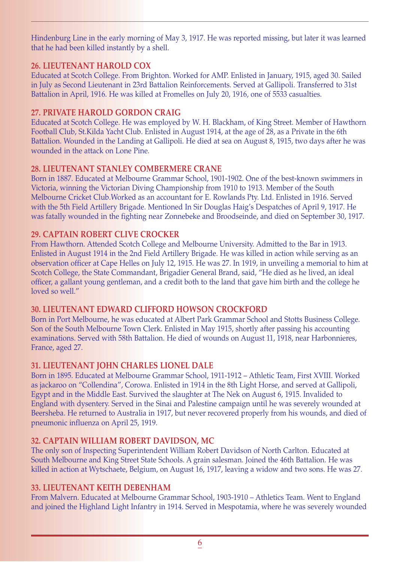Hindenburg Line in the early morning of May 3, 1917. He was reported missing, but later it was learned that he had been killed instantly by a shell.

#### **26. LIEUTENANT HAROLD COX**

Educated at Scotch College. From Brighton. Worked for AMP. Enlisted in January, 1915, aged 30. Sailed in July as Second Lieutenant in 23rd Battalion Reinforcements. Served at Gallipoli. Transferred to 31st Battalion in April, 1916. He was killed at Fromelles on July 20, 1916, one of 5533 casualties.

#### **27. PRIVATE HAROLD GORDON CRAIG**

Educated at Scotch College. He was employed by W. H. Blackham, of King Street. Member of Hawthorn Football Club, St.Kilda Yacht Club. Enlisted in August 1914, at the age of 28, as a Private in the 6th Battalion. Wounded in the Landing at Gallipoli. He died at sea on August 8, 1915, two days after he was wounded in the attack on Lone Pine.

#### **28. LIEUTENANT STANLEY COMBERMERE CRANE**

Born in 1887. Educated at Melbourne Grammar School, 1901-1902. One of the best-known swimmers in Victoria, winning the Victorian Diving Championship from 1910 to 1913. Member of the South Melbourne Cricket Club.Worked as an accountant for E. Rowlands Pty. Ltd. Enlisted in 1916. Served with the 5th Field Artillery Brigade. Mentioned In Sir Douglas Haig's Despatches of April 9, 1917. He was fatally wounded in the fighting near Zonnebeke and Broodseinde, and died on September 30, 1917.

# **29. CAPTAIN ROBERT CLIVE CROCKER**

From Hawthorn. Attended Scotch College and Melbourne University. Admitted to the Bar in 1913. Enlisted in August 1914 in the 2nd Field Artillery Brigade. He was killed in action while serving as an observation officer at Cape Helles on July 12, 1915. He was 27. In 1919, in unveiling a memorial to him at Scotch College, the State Commandant, Brigadier General Brand, said, "He died as he lived, an ideal officer, a gallant young gentleman, and a credit both to the land that gave him birth and the college he loved so well."

#### **30. LIEUTENANT EDWARD CLIFFORD HOWSON CROCKFORD**

Born in Port Melbourne, he was educated at Albert Park Grammar School and Stotts Business College. Son of the South Melbourne Town Clerk. Enlisted in May 1915, shortly after passing his accounting examinations. Served with 58th Battalion. He died of wounds on August 11, 1918, near Harbonnieres, France, aged 27.

# **31. LIEUTENANT JOHN CHARLES LIONEL DALE**

Born in 1895. Educated at Melbourne Grammar School, 1911-1912 – Athletic Team, First XVIII. Worked as jackaroo on "Collendina", Corowa. Enlisted in 1914 in the 8th Light Horse, and served at Gallipoli, Egypt and in the Middle East. Survived the slaughter at The Nek on August 6, 1915. Invalided to England with dysentery. Served in the Sinai and Palestine campaign until he was severely wounded at Beersheba. He returned to Australia in 1917, but never recovered properly from his wounds, and died of pneumonic influenza on April 25, 1919.

# **32. CAPTAIN WILLIAM ROBERT DAVIDSON, MC**

The only son of Inspecting Superintendent William Robert Davidson of North Carlton. Educated at South Melbourne and King Street State Schools. A grain salesman. Joined the 46th Battalion. He was killed in action at Wytschaete, Belgium, on August 16, 1917, leaving a widow and two sons. He was 27.

# **33. LIEUTENANT KEITH DEBENHAM**

From Malvern. Educated at Melbourne Grammar School, 1903-1910 – Athletics Team. Went to England and joined the Highland Light Infantry in 1914. Served in Mespotamia, where he was severely wounded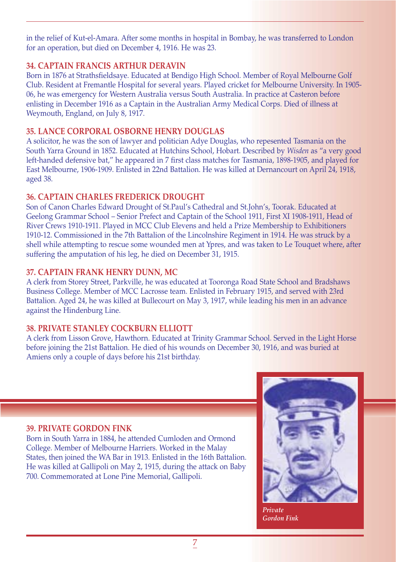in the relief of Kut-el-Amara. After some months in hospital in Bombay, he was transferred to London for an operation, but died on December 4, 1916. He was 23.

#### **34. CAPTAIN FRANCIS ARTHUR DERAVIN**

Born in 1876 at Strathsfieldsaye. Educated at Bendigo High School. Member of Royal Melbourne Golf Club. Resident at Fremantle Hospital for several years. Played cricket for Melbourne University. In 1905- 06, he was emergency for Western Australia versus South Australia. In practice at Casteron before enlisting in December 1916 as a Captain in the Australian Army Medical Corps. Died of illness at Weymouth, England, on July 8, 1917.

#### **35. LANCE CORPORAL OSBORNE HENRY DOUGLAS**

A solicitor, he was the son of lawyer and politician Adye Douglas, who repesented Tasmania on the South Yarra Ground in 1852. Educated at Hutchins School, Hobart. Described by *Wisden* as "a very good left-handed defensive bat," he appeared in 7 first class matches for Tasmania, 1898-1905, and played for East Melbourne, 1906-1909. Enlisted in 22nd Battalion. He was killed at Dernancourt on April 24, 1918, aged 38.

# **36. CAPTAIN CHARLES FREDERICK DROUGHT**

Son of Canon Charles Edward Drought of St.Paul's Cathedral and St.John's, Toorak. Educated at Geelong Grammar School – Senior Prefect and Captain of the School 1911, First XI 1908-1911, Head of River Crews 1910-1911. Played in MCC Club Elevens and held a Prize Membership to Exhibitioners 1910-12. Commissioned in the 7th Battalion of the Lincolnshire Regiment in 1914. He was struck by a shell while attempting to rescue some wounded men at Ypres, and was taken to Le Touquet where, after suffering the amputation of his leg, he died on December 31, 1915.

#### **37. CAPTAIN FRANK HENRY DUNN, MC**

A clerk from Storey Street, Parkville, he was educated at Tooronga Road State School and Bradshaws Business College. Member of MCC Lacrosse team. Enlisted in February 1915, and served with 23rd Battalion. Aged 24, he was killed at Bullecourt on May 3, 1917, while leading his men in an advance against the Hindenburg Line.

# **38. PRIVATE STANLEY COCKBURN ELLIOTT**

A clerk from Lisson Grove, Hawthorn. Educated at Trinity Grammar School. Served in the Light Horse before joining the 21st Battalion. He died of his wounds on December 30, 1916, and was buried at Amiens only a couple of days before his 21st birthday.

#### **39. PRIVATE GORDON FINK**

Born in South Yarra in 1884, he attended Cumloden and Ormond College. Member of Melbourne Harriers. Worked in the Malay States, then joined the WA Bar in 1913. Enlisted in the 16th Battalion. He was killed at Gallipoli on May 2, 1915, during the attack on Baby 700. Commemorated at Lone Pine Memorial, Gallipoli.



*Private Gordon Fink*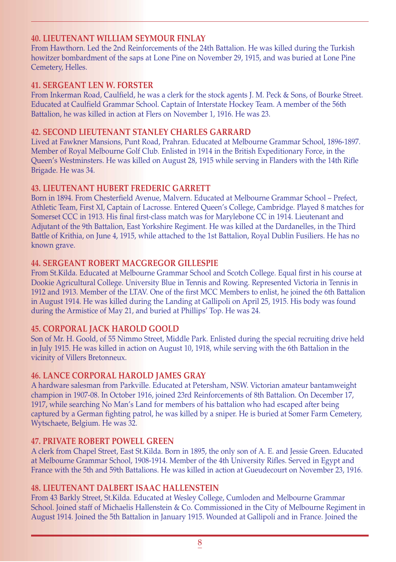# **40. LIEUTENANT WILLIAM SEYMOUR FINLAY**

From Hawthorn. Led the 2nd Reinforcements of the 24th Battalion. He was killed during the Turkish howitzer bombardment of the saps at Lone Pine on November 29, 1915, and was buried at Lone Pine Cemetery, Helles.

#### **41. SERGEANT LEN W. FORSTER**

From Inkerman Road, Caulfield, he was a clerk for the stock agents J. M. Peck & Sons, of Bourke Street. Educated at Caulfield Grammar School. Captain of Interstate Hockey Team. A member of the 56th Battalion, he was killed in action at Flers on November 1, 1916. He was 23.

#### **42. SECOND LIEUTENANT STANLEY CHARLES GARRARD**

Lived at Fawkner Mansions, Punt Road, Prahran. Educated at Melbourne Grammar School, 1896-1897. Member of Royal Melbourne Golf Club. Enlisted in 1914 in the British Expeditionary Force, in the Queen's Westminsters. He was killed on August 28, 1915 while serving in Flanders with the 14th Rifle Brigade. He was 34.

#### **43. LIEUTENANT HUBERT FREDERIC GARRETT**

Born in 1894. From Chesterfield Avenue, Malvern. Educated at Melbourne Grammar School – Prefect, Athletic Team, First XI, Captain of Lacrosse. Entered Queen's College, Cambridge. Played 8 matches for Somerset CCC in 1913. His final first-class match was for Marylebone CC in 1914. Lieutenant and Adjutant of the 9th Battalion, East Yorkshire Regiment. He was killed at the Dardanelles, in the Third Battle of Krithia, on June 4, 1915, while attached to the 1st Battalion, Royal Dublin Fusiliers. He has no known grave.

#### **44. SERGEANT ROBERT MACGREGOR GILLESPIE**

From St.Kilda. Educated at Melbourne Grammar School and Scotch College. Equal first in his course at Dookie Agricultural College. University Blue in Tennis and Rowing. Represented Victoria in Tennis in 1912 and 1913. Member of the LTAV. One of the first MCC Members to enlist, he joined the 6th Battalion in August 1914. He was killed during the Landing at Gallipoli on April 25, 1915. His body was found during the Armistice of May 21, and buried at Phillips' Top. He was 24.

#### **45. CORPORAL JACK HAROLD GOOLD**

Son of Mr. H. Goold, of 55 Nimmo Street, Middle Park. Enlisted during the special recruiting drive held in July 1915. He was killed in action on August 10, 1918, while serving with the 6th Battalion in the vicinity of Villers Bretonneux.

#### **46. LANCE CORPORAL HAROLD JAMES GRAY**

A hardware salesman from Parkville. Educated at Petersham, NSW. Victorian amateur bantamweight champion in 1907-08. In October 1916, joined 23rd Reinforcements of 8th Battalion. On December 17, 1917, while searching No Man's Land for members of his battalion who had escaped after being captured by a German fighting patrol, he was killed by a sniper. He is buried at Somer Farm Cemetery, Wytschaete, Belgium. He was 32.

#### **47. PRIVATE ROBERT POWELL GREEN**

A clerk from Chapel Street, East St.Kilda. Born in 1895, the only son of A. E. and Jessie Green. Educated at Melbourne Grammar School, 1908-1914. Member of the 4th University Rifles. Served in Egypt and France with the 5th and 59th Battalions. He was killed in action at Gueudecourt on November 23, 1916.

#### **48. LIEUTENANT DALBERT ISAAC HALLENSTEIN**

From 43 Barkly Street, St.Kilda. Educated at Wesley College, Cumloden and Melbourne Grammar School. Joined staff of Michaelis Hallenstein & Co. Commissioned in the City of Melbourne Regiment in August 1914. Joined the 5th Battalion in January 1915. Wounded at Gallipoli and in France. Joined the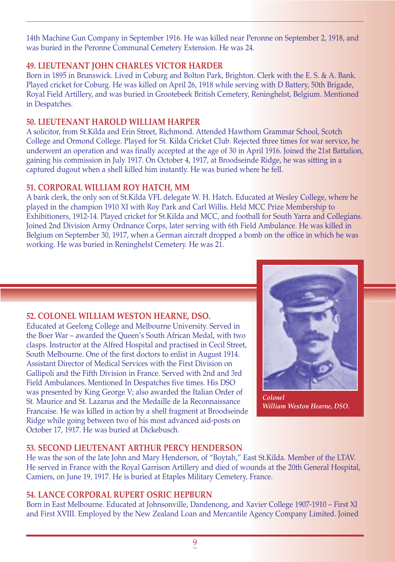14th Machine Gun Company in September 1916. He was killed near Peronne on September 2, 1918, and was buried in the Peronne Communal Cemetery Extension. He was 24.

# **49. LIEUTENANT JOHN CHARLES VICTOR HARDER**

Born in 1895 in Brunswick. Lived in Coburg and Bolton Park, Brighton. Clerk with the E. S. & A. Bank. Played cricket for Coburg. He was killed on April 26, 1918 while serving with D Battery, 50th Brigade, Royal Field Artillery, and was buried in Grootebeek British Cemetery, Reninghelst, Belgium. Mentioned in Despatches.

# **50. LIEUTENANT HAROLD WILLIAM HARPER**

A solicitor, from St.Kilda and Erin Street, Richmond. Attended Hawthorn Grammar School, Scotch College and Ormond College. Played for St. Kilda Cricket Club. Rejected three times for war service, he underwent an operation and was finally accepted at the age of 30 in April 1916. Joined the 21st Battalion, gaining his commission in July 1917. On October 4, 1917, at Broodseinde Ridge, he was sitting in a captured dugout when a shell killed him instantly. He was buried where he fell.

# **51. CORPORAL WILLIAM ROY HATCH, MM**

A bank clerk, the only son of St.Kilda VFL delegate W. H. Hatch. Educated at Wesley College, where he played in the champion 1910 XI with Roy Park and Carl Willis. Held MCC Prize Membership to Exhibitioners, 1912-14. Played cricket for St.Kilda and MCC, and football for South Yarra and Collegians. Joined 2nd Division Army Ordnance Corps, later serving with 6th Field Ambulance. He was killed in Belgium on September 30, 1917, when a German aircraft dropped a bomb on the office in which he was working. He was buried in Reninghelst Cemetery. He was 21.



*Colonel William Weston Hearne, DSO.* 

# **52. COLONEL WILLIAM WESTON HEARNE, DSO.**

Educated at Geelong College and Melbourne University. Served in the Boer War – awarded the Queen's South African Medal, with two clasps. Instructor at the Alfred Hospital and practised in Cecil Street, South Melbourne. One of the first doctors to enlist in August 1914. Assistant Director of Medical Services with the First Division on Gallipoli and the Fifth Division in France. Served with 2nd and 3rd Field Ambulances. Mentioned In Despatches five times. His DSO was presented by King George V; also awarded the Italian Order of St. Maurice and St. Lazarus and the Medaille de la Reconnaissance Francaise. He was killed in action by a shell fragment at Broodseinde Ridge while going between two of his most advanced aid-posts on October 17, 1917. He was buried at Dickebusch.

# **53. SECOND LIEUTENANT ARTHUR PERCY HENDERSON**

He was the son of the late John and Mary Henderson, of "Boytah," East St.Kilda. Member of the LTAV. He served in France with the Royal Garrison Artillery and died of wounds at the 20th General Hospital, Camiers, on June 19, 1917. He is buried at Etaples Military Cemetery, France.

# **54. LANCE CORPORAL RUPERT OSRIC HEPBURN**

Born in East Melbourne. Educated at Johnsonville, Dandenong, and Xavier College 1907-1910 – First XI and First XVIII. Employed by the New Zealand Loan and Mercantile Agency Company Limited. Joined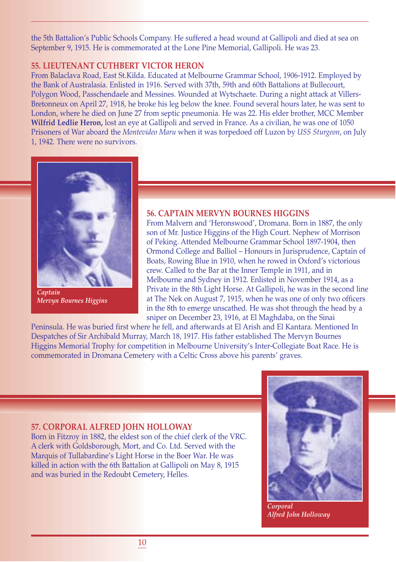the 5th Battalion's Public Schools Company. He suffered a head wound at Gallipoli and died at sea on September 9, 1915. He is commemorated at the Lone Pine Memorial, Gallipoli. He was 23.

#### **55. LIEUTENANT CUTHBERT VICTOR HERON**

From Balaclava Road, East St.Kilda. Educated at Melbourne Grammar School, 1906-1912. Employed by the Bank of Australasia. Enlisted in 1916. Served with 37th, 59th and 60th Battalions at Bullecourt, Polygon Wood, Passchendaele and Messines. Wounded at Wytschaete. During a night attack at Villers-Bretonneux on April 27, 1918, he broke his leg below the knee. Found several hours later, he was sent to London, where he died on June 27 from septic pneumonia. He was 22. His elder brother, MCC Member **Wilfrid Ledlie Heron,** lost an eye at Gallipoli and served in France. As a civilian, he was one of 1050 Prisoners of War aboard the *Montevideo Maru* when it was torpedoed off Luzon by *USS Sturgeon*, on July 1, 1942. There were no survivors.



*Captain Mervyn Bournes Higgins*

#### **56. CAPTAIN MERVYN BOURNES HIGGINS**

From Malvern and 'Heronswood', Dromana. Born in 1887, the only son of Mr. Justice Higgins of the High Court. Nephew of Morrison of Peking. Attended Melbourne Grammar School 1897-1904, then Ormond College and Balliol – Honours in Jurisprudence, Captain of Boats, Rowing Blue in 1910, when he rowed in Oxford's victorious crew. Called to the Bar at the Inner Temple in 1911, and in Melbourne and Sydney in 1912. Enlisted in November 1914, as a Private in the 8th Light Horse. At Gallipoli, he was in the second line at The Nek on August 7, 1915, when he was one of only two officers in the 8th to emerge unscathed. He was shot through the head by a sniper on December 23, 1916, at El Maghdaba, on the Sinai

Peninsula. He was buried first where he fell, and afterwards at El Arish and El Kantara. Mentioned In Despatches of Sir Archibald Murray, March 18, 1917. His father established The Mervyn Bournes Higgins Memorial Trophy for competition in Melbourne University's Inter-Collegiate Boat Race. He is commemorated in Dromana Cemetery with a Celtic Cross above his parents' graves.

#### **57. CORPORAL ALFRED JOHN HOLLOWAY**

Born in Fitzroy in 1882, the eldest son of the chief clerk of the VRC. A clerk with Goldsborough, Mort, and Co. Ltd. Served with the Marquis of Tullabardine's Light Horse in the Boer War. He was killed in action with the 6th Battalion at Gallipoli on May 8, 1915 and was buried in the Redoubt Cemetery, Helles.



*Corporal Alfred John Holloway*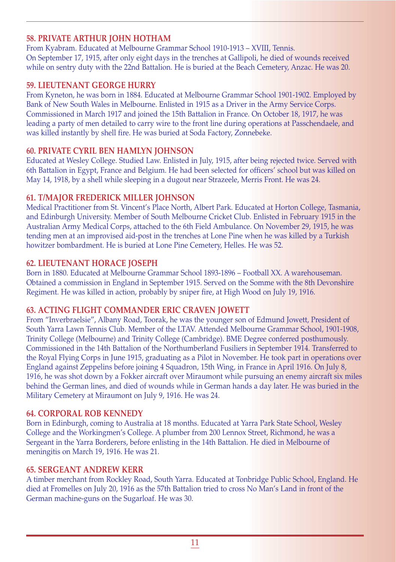# **58. PRIVATE ARTHUR JOHN HOTHAM**

From Kyabram. Educated at Melbourne Grammar School 1910-1913 – XVIII, Tennis. On September 17, 1915, after only eight days in the trenches at Gallipoli, he died of wounds received while on sentry duty with the 22nd Battalion. He is buried at the Beach Cemetery, Anzac. He was 20.

#### **59. LIEUTENANT GEORGE HURRY**

From Kyneton, he was born in 1884. Educated at Melbourne Grammar School 1901-1902. Employed by Bank of New South Wales in Melbourne. Enlisted in 1915 as a Driver in the Army Service Corps. Commissioned in March 1917 and joined the 15th Battalion in France. On October 18, 1917, he was leading a party of men detailed to carry wire to the front line during operations at Passchendaele, and was killed instantly by shell fire. He was buried at Soda Factory, Zonnebeke.

# **60. PRIVATE CYRIL BEN HAMLYN JOHNSON**

Educated at Wesley College. Studied Law. Enlisted in July, 1915, after being rejected twice. Served with 6th Battalion in Egypt, France and Belgium. He had been selected for officers' school but was killed on May 14, 1918, by a shell while sleeping in a dugout near Strazeele, Merris Front. He was 24.

# **61. T/MAJOR FREDERICK MILLER JOHNSON**

Medical Practitioner from St. Vincent's Place North, Albert Park. Educated at Horton College, Tasmania, and Edinburgh University. Member of South Melbourne Cricket Club. Enlisted in February 1915 in the Australian Army Medical Corps, attached to the 6th Field Ambulance. On November 29, 1915, he was tending men at an improvised aid-post in the trenches at Lone Pine when he was killed by a Turkish howitzer bombardment. He is buried at Lone Pine Cemetery, Helles. He was 52.

# **62. LIEUTENANT HORACE JOSEPH**

Born in 1880. Educated at Melbourne Grammar School 1893-1896 – Football XX. A warehouseman. Obtained a commission in England in September 1915. Served on the Somme with the 8th Devonshire Regiment. He was killed in action, probably by sniper fire, at High Wood on July 19, 1916.

# **63. ACTING FLIGHT COMMANDER ERIC CRAVEN JOWETT**

From "Inverbraelsie", Albany Road, Toorak, he was the younger son of Edmund Jowett, President of South Yarra Lawn Tennis Club. Member of the LTAV. Attended Melbourne Grammar School, 1901-1908, Trinity College (Melbourne) and Trinity College (Cambridge). BME Degree conferred posthumously. Commissioned in the 14th Battalion of the Northumberland Fusiliers in September 1914. Transferred to the Royal Flying Corps in June 1915, graduating as a Pilot in November. He took part in operations over England against Zeppelins before joining 4 Squadron, 15th Wing, in France in April 1916. On July 8, 1916, he was shot down by a Fokker aircraft over Miraumont while pursuing an enemy aircraft six miles behind the German lines, and died of wounds while in German hands a day later. He was buried in the Military Cemetery at Miraumont on July 9, 1916. He was 24.

# **64. CORPORAL ROB KENNEDY**

Born in Edinburgh, coming to Australia at 18 months. Educated at Yarra Park State School, Wesley College and the Workingmen's College. A plumber from 200 Lennox Street, Richmond, he was a Sergeant in the Yarra Borderers, before enlisting in the 14th Battalion. He died in Melbourne of meningitis on March 19, 1916. He was 21.

# **65. SERGEANT ANDREW KERR**

A timber merchant from Rockley Road, South Yarra. Educated at Tonbridge Public School, England. He died at Fromelles on July 20, 1916 as the 57th Battalion tried to cross No Man's Land in front of the German machine-guns on the Sugarloaf. He was 30.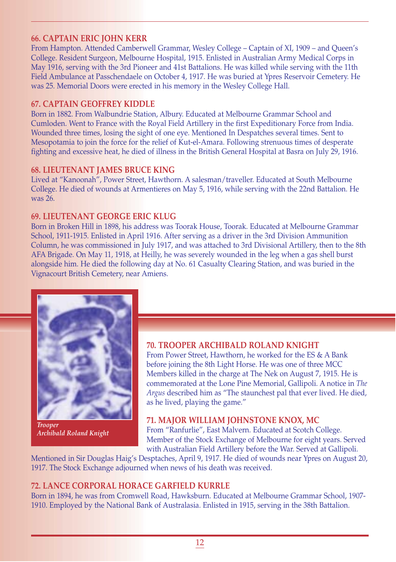#### **66. CAPTAIN ERIC JOHN KERR**

From Hampton. Attended Camberwell Grammar, Wesley College – Captain of XI, 1909 – and Queen's College. Resident Surgeon, Melbourne Hospital, 1915. Enlisted in Australian Army Medical Corps in May 1916, serving with the 3rd Pioneer and 41st Battalions. He was killed while serving with the 11th Field Ambulance at Passchendaele on October 4, 1917. He was buried at Ypres Reservoir Cemetery. He was 25. Memorial Doors were erected in his memory in the Wesley College Hall.

#### **67. CAPTAIN GEOFFREY KIDDLE**

Born in 1882. From Walbundrie Station, Albury. Educated at Melbourne Grammar School and Cumloden. Went to France with the Royal Field Artillery in the first Expeditionary Force from India. Wounded three times, losing the sight of one eye. Mentioned In Despatches several times. Sent to Mesopotamia to join the force for the relief of Kut-el-Amara. Following strenuous times of desperate fighting and excessive heat, he died of illness in the British General Hospital at Basra on July 29, 1916.

#### **68. LIEUTENANT JAMES BRUCE KING**

Lived at "Kanoonah", Power Street, Hawthorn. A salesman/traveller. Educated at South Melbourne College. He died of wounds at Armentieres on May 5, 1916, while serving with the 22nd Battalion. He was 26.

#### **69. LIEUTENANT GEORGE ERIC KLUG**

Born in Broken Hill in 1898, his address was Toorak House, Toorak. Educated at Melbourne Grammar School, 1911-1915. Enlisted in April 1916. After serving as a driver in the 3rd Division Ammunition Column, he was commissioned in July 1917, and was attached to 3rd Divisional Artillery, then to the 8th AFA Brigade. On May 11, 1918, at Heilly, he was severely wounded in the leg when a gas shell burst alongside him. He died the following day at No. 61 Casualty Clearing Station, and was buried in the Vignacourt British Cemetery, near Amiens.



*Trooper Archibald Roland Knight*

#### **70. TROOPER ARCHIBALD ROLAND KNIGHT**

From Power Street, Hawthorn, he worked for the ES & A Bank before joining the 8th Light Horse. He was one of three MCC Members killed in the charge at The Nek on August 7, 1915. He is commemorated at the Lone Pine Memorial, Gallipoli. A notice in *The Argus* described him as "The staunchest pal that ever lived. He died, as he lived, playing the game."

#### **71. MAJOR WILLIAM JOHNSTONE KNOX, MC**

From "Ranfurlie", East Malvern. Educated at Scotch College. Member of the Stock Exchange of Melbourne for eight years. Served with Australian Field Artillery before the War. Served at Gallipoli.

Mentioned in Sir Douglas Haig's Desptaches, April 9, 1917. He died of wounds near Ypres on August 20, 1917. The Stock Exchange adjourned when news of his death was received.

#### **72. LANCE CORPORAL HORACE GARFIELD KURRLE**

Born in 1894, he was from Cromwell Road, Hawksburn. Educated at Melbourne Grammar School, 1907- 1910. Employed by the National Bank of Australasia. Enlisted in 1915, serving in the 38th Battalion.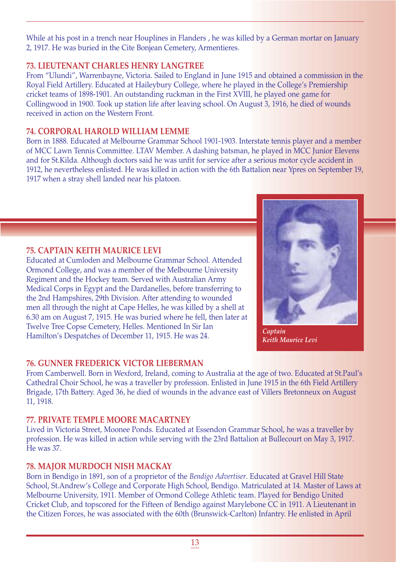While at his post in a trench near Houplines in Flanders, he was killed by a German mortar on January 2, 1917. He was buried in the Cite Bonjean Cemetery, Armentieres.

# **73. LIEUTENANT CHARLES HENRY LANGTREE**

From "Ulundi", Warrenbayne, Victoria. Sailed to England in June 1915 and obtained a commission in the Royal Field Artillery. Educated at Haileybury College, where he played in the College's Premiership cricket teams of 1898-1901. An outstanding ruckman in the First XVIII, he played one game for Collingwood in 1900. Took up station life after leaving school. On August 3, 1916, he died of wounds received in action on the Western Front.

# **74. CORPORAL HAROLD WILLIAM LEMME**

Born in 1888. Educated at Melbourne Grammar School 1901-1903. Interstate tennis player and a member of MCC Lawn Tennis Committee. LTAV Member. A dashing batsman, he played in MCC Junior Elevens and for St.Kilda. Although doctors said he was unfit for service after a serious motor cycle accident in 1912, he nevertheless enlisted. He was killed in action with the 6th Battalion near Ypres on September 19, 1917 when a stray shell landed near his platoon.

# **75. CAPTAIN KEITH MAURICE LEVI**

Educated at Cumloden and Melbourne Grammar School. Attended Ormond College, and was a member of the Melbourne University Regiment and the Hockey team. Served with Australian Army Medical Corps in Egypt and the Dardanelles, before transferring to the 2nd Hampshires, 29th Division. After attending to wounded men all through the night at Cape Helles, he was killed by a shell at 6.30 am on August 7, 1915. He was buried where he fell, then later at Twelve Tree Copse Cemetery, Helles. Mentioned In Sir Ian Hamilton's Despatches of December 11, 1915. He was 24.



*Captain Keith Maurice Levi*

# **76. GUNNER FREDERICK VICTOR LIEBERMAN**

From Camberwell. Born in Wexford, Ireland, coming to Australia at the age of two. Educated at St.Paul's Cathedral Choir School, he was a traveller by profession. Enlisted in June 1915 in the 6th Field Artillery Brigade, 17th Battery. Aged 36, he died of wounds in the advance east of Villers Bretonneux on August 11, 1918.

# **77. PRIVATE TEMPLE MOORE MACARTNEY**

Lived in Victoria Street, Moonee Ponds. Educated at Essendon Grammar School, he was a traveller by profession. He was killed in action while serving with the 23rd Battalion at Bullecourt on May 3, 1917. He was 37.

# **78. MAJOR MURDOCH NISH MACKAY**

Born in Bendigo in 1891, son of a proprietor of the *Bendigo Advertiser*. Educated at Gravel Hill State School, St.Andrew's College and Corporate High School, Bendigo. Matriculated at 14. Master of Laws at Melbourne University, 1911. Member of Ormond College Athletic team. Played for Bendigo United Cricket Club, and topscored for the Fifteen of Bendigo against Marylebone CC in 1911. A Lieutenant in the Citizen Forces, he was associated with the 60th (Brunswick-Carlton) Infantry. He enlisted in April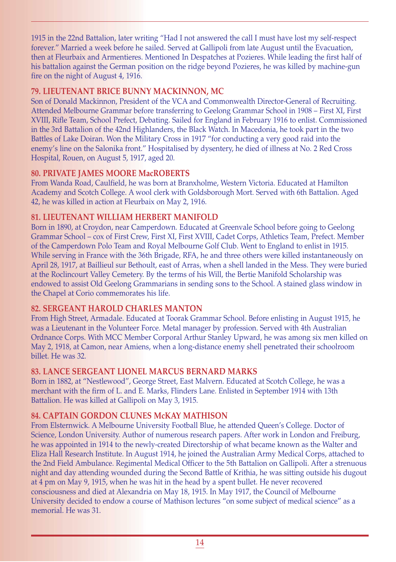1915 in the 22nd Battalion, later writing "Had I not answered the call I must have lost my self-respect forever." Married a week before he sailed. Served at Gallipoli from late August until the Evacuation, then at Fleurbaix and Armentieres. Mentioned In Despatches at Pozieres. While leading the first half of his battalion against the German position on the ridge beyond Pozieres, he was killed by machine-gun fire on the night of August 4, 1916.

# **79. LIEUTENANT BRICE BUNNY MACKINNON, MC**

Son of Donald Mackinnon, President of the VCA and Commonwealth Director-General of Recruiting. Attended Melbourne Grammar before transferring to Geelong Grammar School in 1908 – First XI, First XVIII, Rifle Team, School Prefect, Debating. Sailed for England in February 1916 to enlist. Commissioned in the 3rd Battalion of the 42nd Highlanders, the Black Watch. In Macedonia, he took part in the two Battles of Lake Doiran. Won the Military Cross in 1917 "for conducting a very good raid into the enemy's line on the Salonika front." Hospitalised by dysentery, he died of illness at No. 2 Red Cross Hospital, Rouen, on August 5, 1917, aged 20.

# **80. PRIVATE JAMES MOORE MacROBERTS**

From Wanda Road, Caulfield, he was born at Branxholme, Western Victoria. Educated at Hamilton Academy and Scotch College. A wool clerk with Goldsborough Mort. Served with 6th Battalion. Aged 42, he was killed in action at Fleurbaix on May 2, 1916.

# **81. LIEUTENANT WILLIAM HERBERT MANIFOLD**

Born in 1890, at Croydon, near Camperdown. Educated at Greenvale School before going to Geelong Grammar School – cox of First Crew, First XI, First XVIII, Cadet Corps, Athletics Team, Prefect. Member of the Camperdown Polo Team and Royal Melbourne Golf Club. Went to England to enlist in 1915. While serving in France with the 36th Brigade, RFA, he and three others were killed instantaneously on April 28, 1917, at Baillieul sur Bethoult, east of Arras, when a shell landed in the Mess. They were buried at the Roclincourt Valley Cemetery. By the terms of his Will, the Bertie Manifold Scholarship was endowed to assist Old Geelong Grammarians in sending sons to the School. A stained glass window in the Chapel at Corio commemorates his life.

# **82. SERGEANT HAROLD CHARLES MANTON**

From High Street, Armadale. Educated at Toorak Grammar School. Before enlisting in August 1915, he was a Lieutenant in the Volunteer Force. Metal manager by profession. Served with 4th Australian Ordnance Corps. With MCC Member Corporal Arthur Stanley Upward, he was among six men killed on May 2, 1918, at Camon, near Amiens, when a long-distance enemy shell penetrated their schoolroom billet. He was 32.

# **83. LANCE SERGEANT LIONEL MARCUS BERNARD MARKS**

Born in 1882, at "Nestlewood", George Street, East Malvern. Educated at Scotch College, he was a merchant with the firm of L. and E. Marks, Flinders Lane. Enlisted in September 1914 with 13th Battalion. He was killed at Gallipoli on May 3, 1915.

# **84. CAPTAIN GORDON CLUNES McKAY MATHISON**

From Elsternwick. A Melbourne University Football Blue, he attended Queen's College. Doctor of Science, London University. Author of numerous research papers. After work in London and Freiburg, he was appointed in 1914 to the newly-created Directorship of what became known as the Walter and Eliza Hall Research Institute. In August 1914, he joined the Australian Army Medical Corps, attached to the 2nd Field Ambulance. Regimental Medical Officer to the 5th Battalion on Gallipoli. After a strenuous night and day attending wounded during the Second Battle of Krithia, he was sitting outside his dugout at 4 pm on May 9, 1915, when he was hit in the head by a spent bullet. He never recovered consciousness and died at Alexandria on May 18, 1915. In May 1917, the Council of Melbourne University decided to endow a course of Mathison lectures "on some subject of medical science" as a memorial. He was 31.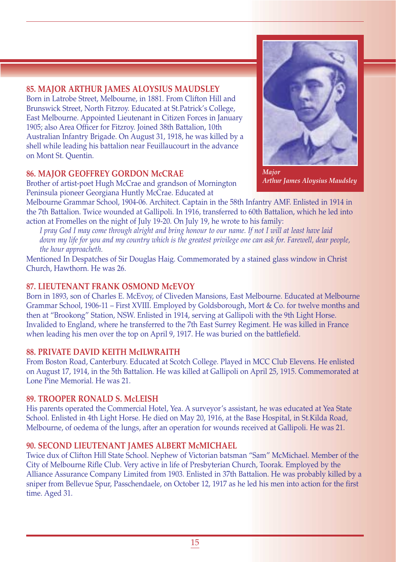# **85. MAJOR ARTHUR JAMES ALOYSIUS MAUDSLEY**

Born in Latrobe Street, Melbourne, in 1881. From Clifton Hill and Brunswick Street, North Fitzroy. Educated at St.Patrick's College, East Melbourne. Appointed Lieutenant in Citizen Forces in January 1905; also Area Officer for Fitzroy. Joined 38th Battalion, 10th Australian Infantry Brigade. On August 31, 1918, he was killed by a shell while leading his battalion near Feuillaucourt in the advance on Mont St. Quentin.

# **86. MAJOR GEOFFREY GORDON McCRAE**

Brother of artist-poet Hugh McCrae and grandson of Mornington Peninsula pioneer Georgiana Huntly McCrae. Educated at

Melbourne Grammar School, 1904-06. Architect. Captain in the 58th Infantry AMF. Enlisted in 1914 in the 7th Battalion. Twice wounded at Gallipoli. In 1916, transferred to 60th Battalion, which he led into action at Fromelles on the night of July 19-20. On July 19, he wrote to his family:

*I pray God I may come through alright and bring honour to our name. If not I will at least have laid down my life for you and my country which is the greatest privilege one can ask for. Farewell, dear people, the hour approacheth.* 

Mentioned In Despatches of Sir Douglas Haig. Commemorated by a stained glass window in Christ Church, Hawthorn. He was 26.

#### **87. LIEUTENANT FRANK OSMOND McEVOY**

Born in 1893, son of Charles E. McEvoy, of Cliveden Mansions, East Melbourne. Educated at Melbourne Grammar School, 1906-11 – First XVIII. Employed by Goldsborough, Mort & Co. for twelve months and then at "Brookong" Station, NSW. Enlisted in 1914, serving at Gallipoli with the 9th Light Horse. Invalided to England, where he transferred to the 7th East Surrey Regiment. He was killed in France when leading his men over the top on April 9, 1917. He was buried on the battlefield.

#### **88. PRIVATE DAVID KEITH McILWRAITH**

From Boston Road, Canterbury. Educated at Scotch College. Played in MCC Club Elevens. He enlisted on August 17, 1914, in the 5th Battalion. He was killed at Gallipoli on April 25, 1915. Commemorated at Lone Pine Memorial. He was 21.

#### **89. TROOPER RONALD S. McLEISH**

His parents operated the Commercial Hotel, Yea. A surveyor's assistant, he was educated at Yea State School. Enlisted in 4th Light Horse. He died on May 20, 1916, at the Base Hospital, in St.Kilda Road, Melbourne, of oedema of the lungs, after an operation for wounds received at Gallipoli. He was 21.

#### **90. SECOND LIEUTENANT JAMES ALBERT McMICHAEL**

Twice dux of Clifton Hill State School. Nephew of Victorian batsman "Sam" McMichael. Member of the City of Melbourne Rifle Club. Very active in life of Presbyterian Church, Toorak. Employed by the Alliance Assurance Company Limited from 1903. Enlisted in 37th Battalion. He was probably killed by a sniper from Bellevue Spur, Passchendaele, on October 12, 1917 as he led his men into action for the first time. Aged 31.

*Major Arthur James Aloysius Maudsley*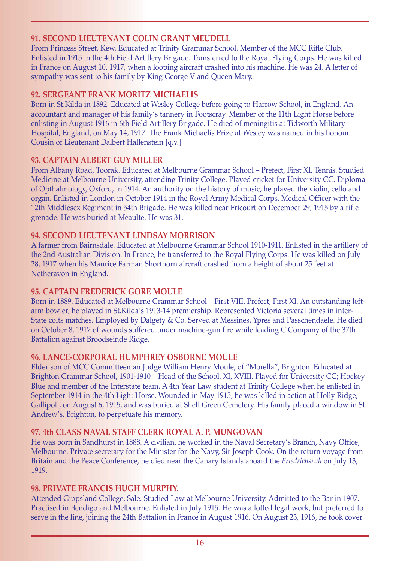#### **91. SECOND LIEUTENANT COLIN GRANT MEUDELL**

From Princess Street, Kew. Educated at Trinity Grammar School. Member of the MCC Rifle Club. Enlisted in 1915 in the 4th Field Artillery Brigade. Transferred to the Royal Flying Corps. He was killed in France on August 10, 1917, when a looping aircraft crashed into his machine. He was 24. A letter of sympathy was sent to his family by King George V and Queen Mary.

#### **92. SERGEANT FRANK MORITZ MICHAELIS**

Born in St.Kilda in 1892. Educated at Wesley College before going to Harrow School, in England. An accountant and manager of his family's tannery in Footscray. Member of the 11th Light Horse before enlisting in August 1916 in 6th Field Artillery Brigade. He died of meningitis at Tidworth Military Hospital, England, on May 14, 1917. The Frank Michaelis Prize at Wesley was named in his honour. Cousin of Lieutenant Dalbert Hallenstein [q.v.].

#### **93. CAPTAIN ALBERT GUY MILLER**

From Albany Road, Toorak. Educated at Melbourne Grammar School – Prefect, First XI, Tennis. Studied Medicine at Melbourne University, attending Trinity College. Played cricket for University CC. Diploma of Opthalmology, Oxford, in 1914. An authority on the history of music, he played the violin, cello and organ. Enlisted in London in October 1914 in the Royal Army Medical Corps. Medical Officer with the 12th Middlesex Regiment in 54th Brigade. He was killed near Fricourt on December 29, 1915 by a rifle grenade. He was buried at Meaulte. He was 31.

#### **94. SECOND LIEUTENANT LINDSAY MORRISON**

A farmer from Bairnsdale. Educated at Melbourne Grammar School 1910-1911. Enlisted in the artillery of the 2nd Australian Division. In France, he transferred to the Royal Flying Corps. He was killed on July 28, 1917 when his Maurice Farman Shorthorn aircraft crashed from a height of about 25 feet at Netheravon in England.

# **95. CAPTAIN FREDERICK GORE MOULE**

Born in 1889. Educated at Melbourne Grammar School – First VIII, Prefect, First XI. An outstanding leftarm bowler, he played in St.Kilda's 1913-14 premiership. Represented Victoria several times in inter-State colts matches. Employed by Dalgety & Co. Served at Messines, Ypres and Passchendaele. He died on October 8, 1917 of wounds suffered under machine-gun fire while leading C Company of the 37th Battalion against Broodseinde Ridge.

# **96. LANCE-CORPORAL HUMPHREY OSBORNE MOULE**

Elder son of MCC Committeeman Judge William Henry Moule, of "Morella", Brighton. Educated at Brighton Grammar School, 1901-1910 – Head of the School, XI, XVIII. Played for University CC; Hockey Blue and member of the Interstate team. A 4th Year Law student at Trinity College when he enlisted in September 1914 in the 4th Light Horse. Wounded in May 1915, he was killed in action at Holly Ridge, Gallipoli, on August 6, 1915, and was buried at Shell Green Cemetery. His family placed a window in St. Andrew's, Brighton, to perpetuate his memory.

# **97. 4th CLASS NAVAL STAFF CLERK ROYAL A. P. MUNGOVAN**

He was born in Sandhurst in 1888. A civilian, he worked in the Naval Secretary's Branch, Navy Office, Melbourne. Private secretary for the Minister for the Navy, Sir Joseph Cook. On the return voyage from Britain and the Peace Conference, he died near the Canary Islands aboard the *Friedrichsruh* on July 13, 1919.

# **98. PRIVATE FRANCIS HUGH MURPHY.**

Attended Gippsland College, Sale. Studied Law at Melbourne University. Admitted to the Bar in 1907. Practised in Bendigo and Melbourne. Enlisted in July 1915. He was allotted legal work, but preferred to serve in the line, joining the 24th Battalion in France in August 1916. On August 23, 1916, he took cover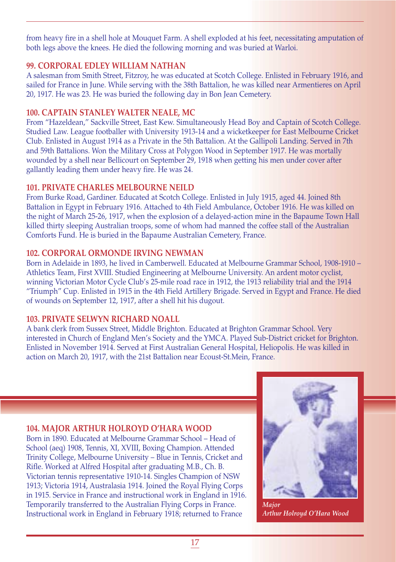from heavy fire in a shell hole at Mouquet Farm. A shell exploded at his feet, necessitating amputation of both legs above the knees. He died the following morning and was buried at Warloi.

# **99. CORPORAL EDLEY WILLIAM NATHAN**

A salesman from Smith Street, Fitzroy, he was educated at Scotch College. Enlisted in February 1916, and sailed for France in June. While serving with the 38th Battalion, he was killed near Armentieres on April 20, 1917. He was 23. He was buried the following day in Bon Jean Cemetery.

# **100. CAPTAIN STANLEY WALTER NEALE, MC**

From "Hazeldean," Sackville Street, East Kew. Simultaneously Head Boy and Captain of Scotch College. Studied Law. League footballer with University 1913-14 and a wicketkeeper for East Melbourne Cricket Club. Enlisted in August 1914 as a Private in the 5th Battalion. At the Gallipoli Landing. Served in 7th and 59th Battalions. Won the Military Cross at Polygon Wood in September 1917. He was mortally wounded by a shell near Bellicourt on September 29, 1918 when getting his men under cover after gallantly leading them under heavy fire. He was 24.

# **101. PRIVATE CHARLES MELBOURNE NEILD**

From Burke Road, Gardiner. Educated at Scotch College. Enlisted in July 1915, aged 44. Joined 8th Battalion in Egypt in February 1916. Attached to 4th Field Ambulance, October 1916. He was killed on the night of March 25-26, 1917, when the explosion of a delayed-action mine in the Bapaume Town Hall killed thirty sleeping Australian troops, some of whom had manned the coffee stall of the Australian Comforts Fund. He is buried in the Bapaume Australian Cemetery, France.

# **102. CORPORAL ORMONDE IRVING NEWMAN**

Born in Adelaide in 1893, he lived in Camberwell. Educated at Melbourne Grammar School, 1908-1910 – Athletics Team, First XVIII. Studied Engineering at Melbourne University. An ardent motor cyclist, winning Victorian Motor Cycle Club's 25-mile road race in 1912, the 1913 reliability trial and the 1914 "Triumph" Cup. Enlisted in 1915 in the 4th Field Artillery Brigade. Served in Egypt and France. He died of wounds on September 12, 1917, after a shell hit his dugout.

# **103. PRIVATE SELWYN RICHARD NOALL**

A bank clerk from Sussex Street, Middle Brighton. Educated at Brighton Grammar School. Very interested in Church of England Men's Society and the YMCA. Played Sub-District cricket for Brighton. Enlisted in November 1914. Served at First Australian General Hospital, Heliopolis. He was killed in action on March 20, 1917, with the 21st Battalion near Ecoust-St.Mein, France.

# **104. MAJOR ARTHUR HOLROYD O'HARA WOOD**

Born in 1890. Educated at Melbourne Grammar School – Head of School (aeq) 1908, Tennis, XI, XVIII, Boxing Champion. Attended Trinity College, Melbourne University – Blue in Tennis, Cricket and Rifle. Worked at Alfred Hospital after graduating M.B., Ch. B. Victorian tennis representative 1910-14. Singles Champion of NSW 1913; Victoria 1914, Australasia 1914. Joined the Royal Flying Corps in 1915. Service in France and instructional work in England in 1916. Temporarily transferred to the Australian Flying Corps in France. Instructional work in England in February 1918; returned to France



*Major Arthur Holroyd O'Hara Wood*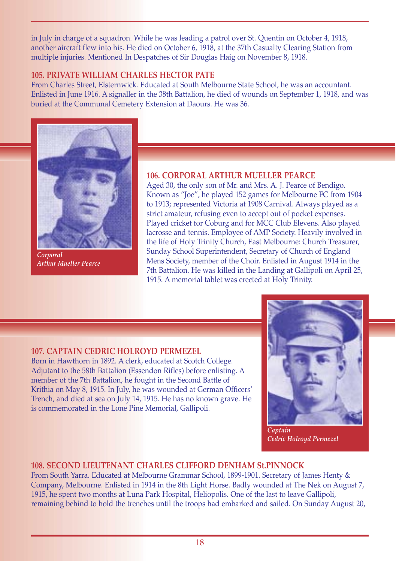in July in charge of a squadron. While he was leading a patrol over St. Quentin on October 4, 1918, another aircraft flew into his. He died on October 6, 1918, at the 37th Casualty Clearing Station from multiple injuries. Mentioned In Despatches of Sir Douglas Haig on November 8, 1918.

#### **105. PRIVATE WILLIAM CHARLES HECTOR PATE**

From Charles Street, Elsternwick. Educated at South Melbourne State School, he was an accountant. Enlisted in June 1916. A signaller in the 38th Battalion, he died of wounds on September 1, 1918, and was buried at the Communal Cemetery Extension at Daours. He was 36.



*Corporal Arthur Mueller Pearce*

#### **106. CORPORAL ARTHUR MUELLER PEARCE**

Aged 30, the only son of Mr. and Mrs. A. J. Pearce of Bendigo. Known as "Joe", he played 152 games for Melbourne FC from 1904 to 1913; represented Victoria at 1908 Carnival. Always played as a strict amateur, refusing even to accept out of pocket expenses. Played cricket for Coburg and for MCC Club Elevens. Also played lacrosse and tennis. Employee of AMP Society. Heavily involved in the life of Holy Trinity Church, East Melbourne: Church Treasurer, Sunday School Superintendent, Secretary of Church of England Mens Society, member of the Choir. Enlisted in August 1914 in the 7th Battalion. He was killed in the Landing at Gallipoli on April 25, 1915. A memorial tablet was erected at Holy Trinity.

#### **107. CAPTAIN CEDRIC HOLROYD PERMEZEL**

Born in Hawthorn in 1892. A clerk, educated at Scotch College. Adjutant to the 58th Battalion (Essendon Rifles) before enlisting. A member of the 7th Battalion, he fought in the Second Battle of Krithia on May 8, 1915. In July, he was wounded at German Officers' Trench, and died at sea on July 14, 1915. He has no known grave. He is commemorated in the Lone Pine Memorial, Gallipoli.



*Captain Cedric Holroyd Permezel*

#### **108. SECOND LIEUTENANT CHARLES CLIFFORD DENHAM St.PINNOCK**

From South Yarra. Educated at Melbourne Grammar School, 1899-1901. Secretary of James Henty & Company, Melbourne. Enlisted in 1914 in the 8th Light Horse. Badly wounded at The Nek on August 7, 1915, he spent two months at Luna Park Hospital, Heliopolis. One of the last to leave Gallipoli, remaining behind to hold the trenches until the troops had embarked and sailed. On Sunday August 20,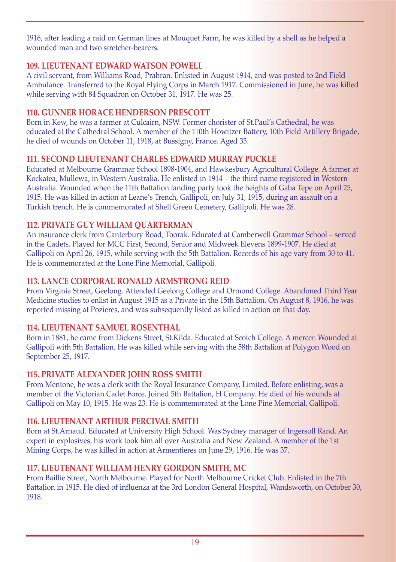1916, after leading a raid on German lines at Mouquet Farm, he was killed by a shell as he helped a wounded man and two stretcher-bearers.

# **109. LIEUTENANT EDWARD WATSON POWELL**

A civil servant, from Williams Road, Prahran. Enlisted in August 1914, and was posted to 2nd Field Ambulance. Transferred to the Royal Flying Corps in March 1917. Commissioned in June, he was killed while serving with 84 Squadron on October 31, 1917. He was 25.

# **110. GUNNER HORACE HENDERSON PRESCOTT**

Born in Kew, he was a farmer at Culcairn, NSW. Former chorister of St.Paul's Cathedral, he was educated at the Cathedral School. A member of the 110th Howitzer Battery, 10th Field Artillery Brigade, he died of wounds on October 11, 1918, at Bussigny, France. Aged 33.

# **111. SECOND LIEUTENANT CHARLES EDWARD MURRAY PUCKLE**

Educated at Melbourne Grammar School 1898-1904, and Hawkesbury Agricultural College. A farmer at Kockatea, Mullewa, in Western Australia. He enlisted in 1914 – the third name registered in Western Australia. Wounded when the 11th Battalion landing party took the heights of Gaba Tepe on April 25, 1915. He was killed in action at Leane's Trench, Gallipoli, on July 31, 1915, during an assault on a Turkish trench. He is commemorated at Shell Green Cemetery, Gallipoli. He was 28.

# **112. PRIVATE GUY WILLIAM QUARTERMAN**

An insurance clerk from Canterbury Road, Toorak. Educated at Camberwell Grammar School – served in the Cadets. Played for MCC First, Second, Senior and Midweek Elevens 1899-1907. He died at Gallipoli on April 26, 1915, while serving with the 5th Battalion. Records of his age vary from 30 to 41. He is commemorated at the Lone Pine Memorial, Gallipoli.

# **113. LANCE CORPORAL RONALD ARMSTRONG REID**

From Virginia Street, Geelong. Attended Geelong College and Ormond College. Abandoned Third Year Medicine studies to enlist in August 1915 as a Private in the 15th Battalion. On August 8, 1916, he was reported missing at Pozieres, and was subsequently listed as killed in action on that day.

# **114. LIEUTENANT SAMUEL ROSENTHAL**

Born in 1881, he came from Dickens Street, St.Kilda. Educated at Scotch College. A mercer. Wounded at Gallipoli with 5th Battalion. He was killed while serving with the 58th Battalion at Polygon Wood on September 25, 1917.

# **115. PRIVATE ALEXANDER JOHN ROSS SMITH**

From Mentone, he was a clerk with the Royal Insurance Company, Limited. Before enlisting, was a member of the Victorian Cadet Force. Joined 5th Battalion, H Company. He died of his wounds at Gallipoli on May 10, 1915. He was 23. He is commemorated at the Lone Pine Memorial, Gallipoli.

# **116. LIEUTENANT ARTHUR PERCIVAL SMITH**

Born at St.Arnaud. Educated at University High School. Was Sydney manager of Ingersoll Rand. An expert in explosives, his work took him all over Australia and New Zealand. A member of the 1st Mining Corps, he was killed in action at Armentieres on June 29, 1916. He was 37.

# **117. LIEUTENANT WILLIAM HENRY GORDON SMITH, MC**

From Baillie Street, North Melbourne. Played for North Melbourne Cricket Club. Enlisted in the 7th Battalion in 1915. He died of influenza at the 3rd London General Hospital, Wandsworth, on October 30, 1918.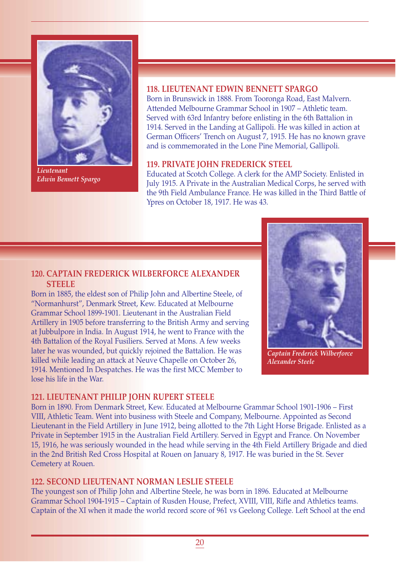

*Lieutenant Edwin Bennett Spargo*

#### **118. LIEUTENANT EDWIN BENNETT SPARGO**

Born in Brunswick in 1888. From Tooronga Road, East Malvern. Attended Melbourne Grammar School in 1907 – Athletic team. Served with 63rd Infantry before enlisting in the 6th Battalion in 1914. Served in the Landing at Gallipoli. He was killed in action at German Officers' Trench on August 7, 1915. He has no known grave and is commemorated in the Lone Pine Memorial, Gallipoli.

#### **119. PRIVATE JOHN FREDERICK STEEL**

Educated at Scotch College. A clerk for the AMP Society. Enlisted in July 1915. A Private in the Australian Medical Corps, he served with the 9th Field Ambulance France. He was killed in the Third Battle of Ypres on October 18, 1917. He was 43.

#### **120. CAPTAIN FREDERICK WILBERFORCE ALEXANDER STEELE**

Born in 1885, the eldest son of Philip John and Albertine Steele, of "Normanhurst", Denmark Street, Kew. Educated at Melbourne Grammar School 1899-1901. Lieutenant in the Australian Field Artillery in 1905 before transferring to the British Army and serving at Jubbulpore in India. In August 1914, he went to France with the 4th Battalion of the Royal Fusiliers. Served at Mons. A few weeks later he was wounded, but quickly rejoined the Battalion. He was killed while leading an attack at Neuve Chapelle on October 26, 1914. Mentioned In Despatches. He was the first MCC Member to lose his life in the War.



*Captain Frederick Wilberforce Alexander Steele*

#### **121. LIEUTENANT PHILIP JOHN RUPERT STEELE**

Born in 1890. From Denmark Street, Kew. Educated at Melbourne Grammar School 1901-1906 – First VIII, Athletic Team. Went into business with Steele and Company, Melbourne. Appointed as Second Lieutenant in the Field Artillery in June 1912, being allotted to the 7th Light Horse Brigade. Enlisted as a Private in September 1915 in the Australian Field Artillery. Served in Egypt and France. On November 15, 1916, he was seriously wounded in the head while serving in the 4th Field Artillery Brigade and died in the 2nd British Red Cross Hospital at Rouen on January 8, 1917. He was buried in the St. Sever Cemetery at Rouen.

#### **122. SECOND LIEUTENANT NORMAN LESLIE STEELE**

The youngest son of Philip John and Albertine Steele, he was born in 1896. Educated at Melbourne Grammar School 1904-1915 – Captain of Rusden House, Prefect, XVIII, VIII, Rifle and Athletics teams. Captain of the XI when it made the world record score of 961 vs Geelong College. Left School at the end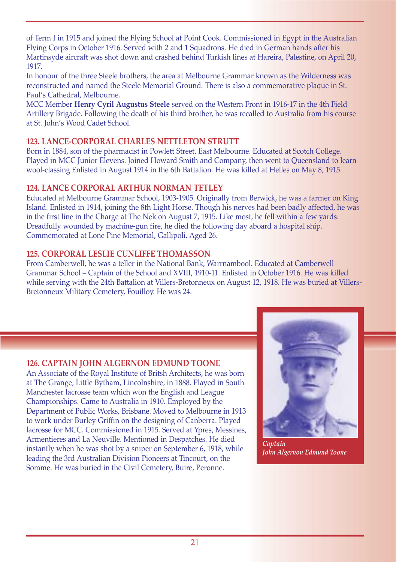of Term I in 1915 and joined the Flying School at Point Cook. Commissioned in Egypt in the Australian Flying Corps in October 1916. Served with 2 and 1 Squadrons. He died in German hands after his Martinsyde aircraft was shot down and crashed behind Turkish lines at Hareira, Palestine, on April 20, 1917.

In honour of the three Steele brothers, the area at Melbourne Grammar known as the Wilderness was reconstructed and named the Steele Memorial Ground. There is also a commemorative plaque in St. Paul's Cathedral, Melbourne.

MCC Member **Henry Cyril Augustus Steele** served on the Western Front in 1916-17 in the 4th Field Artillery Brigade. Following the death of his third brother, he was recalled to Australia from his course at St. John's Wood Cadet School.

# **123. LANCE-CORPORAL CHARLES NETTLETON STRUTT**

Born in 1884, son of the pharmacist in Powlett Street, East Melbourne. Educated at Scotch College. Played in MCC Junior Elevens. Joined Howard Smith and Company, then went to Queensland to learn wool-classing.Enlisted in August 1914 in the 6th Battalion. He was killed at Helles on May 8, 1915.

# **124. LANCE CORPORAL ARTHUR NORMAN TETLEY**

Educated at Melbourne Grammar School, 1903-1905. Originally from Berwick, he was a farmer on King Island. Enlisted in 1914, joining the 8th Light Horse. Though his nerves had been badly affected, he was in the first line in the Charge at The Nek on August 7, 1915. Like most, he fell within a few yards. Dreadfully wounded by machine-gun fire, he died the following day aboard a hospital ship. Commemorated at Lone Pine Memorial, Gallipoli. Aged 26.

# **125. CORPORAL LESLIE CUNLIFFE THOMASSON**

From Camberwell, he was a teller in the National Bank, Warrnambool. Educated at Camberwell Grammar School – Captain of the School and XVIII, 1910-11. Enlisted in October 1916. He was killed while serving with the 24th Battalion at Villers-Bretonneux on August 12, 1918. He was buried at Villers-Bretonneux Military Cemetery, Fouilloy. He was 24.

# **126. CAPTAIN JOHN ALGERNON EDMUND TOONE**

An Associate of the Royal Institute of Britsh Architects, he was born at The Grange, Little Bytham, Lincolnshire, in 1888. Played in South Manchester lacrosse team which won the English and League Championships. Came to Australia in 1910. Employed by the Department of Public Works, Brisbane. Moved to Melbourne in 1913 to work under Burley Griffin on the designing of Canberra. Played lacrosse for MCC. Commissioned in 1915. Served at Ypres, Messines, Armentieres and La Neuville. Mentioned in Despatches. He died instantly when he was shot by a sniper on September 6, 1918, while leading the 3rd Australian Division Pioneers at Tincourt, on the Somme. He was buried in the Civil Cemetery, Buire, Peronne.



*Captain John Algernon Edmund Toone*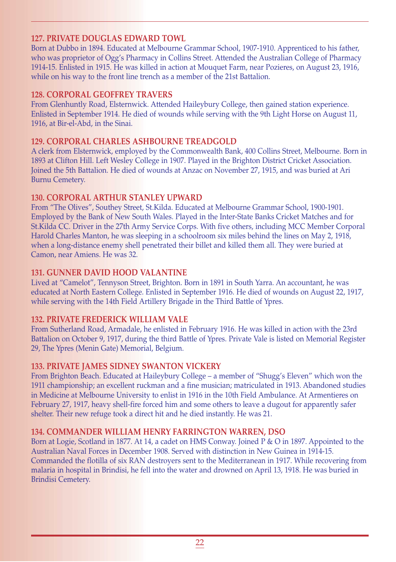#### **127. PRIVATE DOUGLAS EDWARD TOWL**

Born at Dubbo in 1894. Educated at Melbourne Grammar School, 1907-1910. Apprenticed to his father, who was proprietor of Ogg's Pharmacy in Collins Street. Attended the Australian College of Pharmacy 1914-15. Enlisted in 1915. He was killed in action at Mouquet Farm, near Pozieres, on August 23, 1916, while on his way to the front line trench as a member of the 21st Battalion.

#### **128. CORPORAL GEOFFREY TRAVERS**

From Glenhuntly Road, Elsternwick. Attended Haileybury College, then gained station experience. Enlisted in September 1914. He died of wounds while serving with the 9th Light Horse on August 11, 1916, at Bir-el-Abd, in the Sinai.

#### **129. CORPORAL CHARLES ASHBOURNE TREADGOLD**

A clerk from Elsternwick, employed by the Commonwealth Bank, 400 Collins Street, Melbourne. Born in 1893 at Clifton Hill. Left Wesley College in 1907. Played in the Brighton District Cricket Association. Joined the 5th Battalion. He died of wounds at Anzac on November 27, 1915, and was buried at Ari Burnu Cemetery.

# **130. CORPORAL ARTHUR STANLEY UPWARD**

From "The Olives", Southey Street, St.Kilda. Educated at Melbourne Grammar School, 1900-1901. Employed by the Bank of New South Wales. Played in the Inter-State Banks Cricket Matches and for St.Kilda CC. Driver in the 27th Army Service Corps. With five others, including MCC Member Corporal Harold Charles Manton, he was sleeping in a schoolroom six miles behind the lines on May 2, 1918, when a long-distance enemy shell penetrated their billet and killed them all. They were buried at Camon, near Amiens. He was 32.

#### **131. GUNNER DAVID HOOD VALANTINE**

Lived at "Camelot", Tennyson Street, Brighton. Born in 1891 in South Yarra. An accountant, he was educated at North Eastern College. Enlisted in September 1916. He died of wounds on August 22, 1917, while serving with the 14th Field Artillery Brigade in the Third Battle of Ypres.

#### **132. PRIVATE FREDERICK WILLIAM VALE**

From Sutherland Road, Armadale, he enlisted in February 1916. He was killed in action with the 23rd Battalion on October 9, 1917, during the third Battle of Ypres. Private Vale is listed on Memorial Register 29, The Ypres (Menin Gate) Memorial, Belgium.

# **133. PRIVATE JAMES SIDNEY SWANTON VICKERY**

From Brighton Beach. Educated at Haileybury College – a member of "Shugg's Eleven" which won the 1911 championship; an excellent ruckman and a fine musician; matriculated in 1913. Abandoned studies in Medicine at Melbourne University to enlist in 1916 in the 10th Field Ambulance. At Armentieres on February 27, 1917, heavy shell-fire forced him and some others to leave a dugout for apparently safer shelter. Their new refuge took a direct hit and he died instantly. He was 21.

# **134. COMMANDER WILLIAM HENRY FARRINGTON WARREN, DSO**

Born at Logie, Scotland in 1877. At 14, a cadet on HMS Conway. Joined P & O in 1897. Appointed to the Australian Naval Forces in December 1908. Served with distinction in New Guinea in 1914-15. Commanded the flotilla of six RAN destroyers sent to the Mediterranean in 1917. While recovering from malaria in hospital in Brindisi, he fell into the water and drowned on April 13, 1918. He was buried in Brindisi Cemetery.